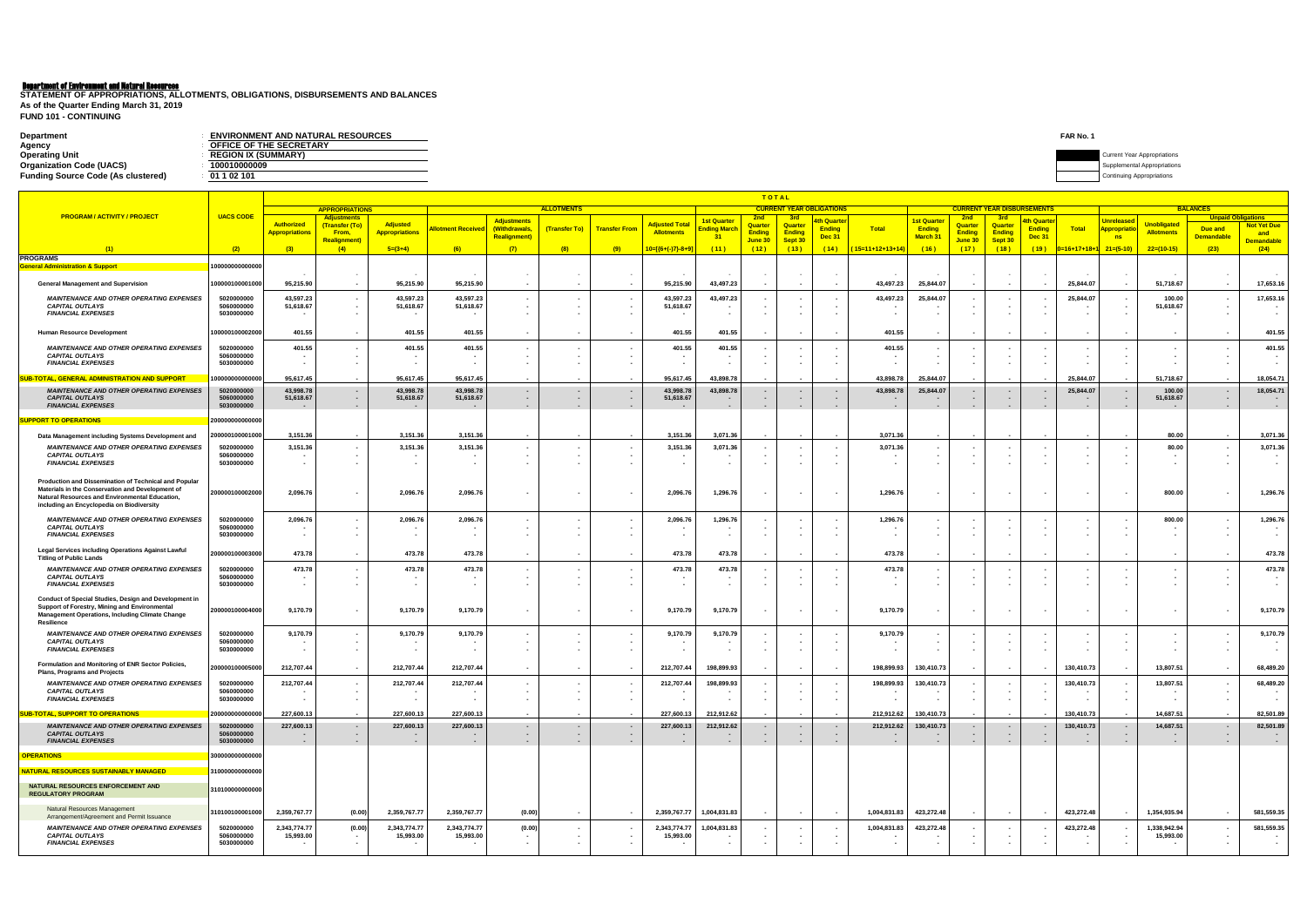# Department of Environment and Natural Resources

| <b>Department</b>                         | <b>ENVIRONMENT AND NATURAL RESOURCES</b> | FAR No. 1                   |
|-------------------------------------------|------------------------------------------|-----------------------------|
| Agency                                    | <b>OFFICE OF THE SECRETARY</b>           |                             |
| <b>Operating Unit</b>                     | <b>REGION IX (SUMMARY)</b>               | Current Year Appropriations |
| <b>Organization Code (UACS)</b>           | 010000009                                | plemental Appropriations    |
| <b>Funding Source Code (As clustered)</b> | 01 1 02 101                              |                             |

**FUND 101 - CONTINUING STATEMENT OF APPROPRIATIONS, ALLOTMENTS, OBLIGATIONS, DISBURSEMENTS AND BALANCES As of the Quarter Ending March 31, 2019**

|                                                                                                                                                                                                          |                                        |                           | <b>TOTAL</b><br><b>CURRENT YEAR OBLIGATIONS</b><br><b>CURRENT YEAR DISBURSEMENTS</b> |                           |                           |                                     |                                            |                                    |                                 |                                        |                                                      |                          |                                                      |                    |                      |                          |                          |                                   |                                    |                                          |                           |                                              |                                |
|----------------------------------------------------------------------------------------------------------------------------------------------------------------------------------------------------------|----------------------------------------|---------------------------|--------------------------------------------------------------------------------------|---------------------------|---------------------------|-------------------------------------|--------------------------------------------|------------------------------------|---------------------------------|----------------------------------------|------------------------------------------------------|--------------------------|------------------------------------------------------|--------------------|----------------------|--------------------------|--------------------------|-----------------------------------|------------------------------------|------------------------------------------|---------------------------|----------------------------------------------|--------------------------------|
| <b>PROGRAM / ACTIVITY / PROJECT</b>                                                                                                                                                                      | <b>UACS CODE</b>                       |                           | <b>APPROPRIATIONS</b><br><b>Adjustments</b>                                          |                           |                           |                                     | <b>ALLOTMENTS</b>                          |                                    |                                 |                                        | 2 <sub>nd</sub>                                      |                          |                                                      |                    |                      | <b>2nc</b>               | -3rd                     |                                   |                                    |                                          |                           | <b>BALANCES</b><br><b>Unpaid Obligations</b> |                                |
|                                                                                                                                                                                                          |                                        | <b>Authorized</b>         | (Transfer (To)                                                                       | <b>Adjusted</b>           | <b>Ilotment Received</b>  | <b>Adjustments</b><br>(Withdrawals, | (Transfer To)                              | <b>Transfer From</b>               | <b>Adjusted Tota</b>            | <mark>1st Quarter</mark><br>nding Mard | Quarter                                              | <b>Quarter</b>           | <mark>4th Quarter</mark><br><b>Ending</b>            | <b>Total</b>       | 1st Quarte<br>Ending | Quarter                  | Quarter                  | <u>th Quarte</u><br><b>Ending</b> | Total                              | <b>Unreleased</b><br><b>Appropriatio</b> | <b>Unobligated</b>        | Due and                                      | <b>Not Yet Due</b>             |
|                                                                                                                                                                                                          |                                        | <b>Appropriations</b>     | From,<br><b>Realignment</b>                                                          | <b>Appropriations</b>     |                           | <b>Realignment)</b>                 |                                            |                                    | <b>Allotments</b>               | 31                                     | <b>Ending</b><br>June 30                             | <b>Ending</b><br>Sept 30 | <b>Dec 31</b>                                        |                    | March 31             | <b>Ending</b><br>June 30 | <b>Ending</b><br>Sept 30 | <b>Dec 31</b>                     |                                    | <b>ns</b>                                | <b>Allotments</b>         | <b>Demandable</b>                            | and<br><b>Demandable</b>       |
| (1)                                                                                                                                                                                                      | (2)                                    | (3)                       | (4)                                                                                  | $5=(3+4)$                 | (6)                       | (7)                                 | (8)                                        | (9)                                | <mark> 0=[{6+(-)7}-8+9</mark> ] | (11)                                   | (12)                                                 | (13)                     | (14)                                                 | $(15=11+12+13+14)$ | (16)                 | (17)                     | (18)                     | (19)                              | <mark>)=16+17+18+</mark>           | $21=(5-10)$                              | $22=(10-15)$              | (23)                                         | (24)                           |
| <b>PROGRAMS</b><br><b>General Administration &amp; Support</b>                                                                                                                                           | 00000000000000                         |                           |                                                                                      |                           |                           |                                     |                                            |                                    |                                 |                                        |                                                      |                          |                                                      |                    |                      |                          |                          |                                   |                                    |                                          |                           |                                              |                                |
| <b>General Management and Supervision</b>                                                                                                                                                                | 00000100001000                         | 95,215.90                 | $\sim$                                                                               | 95,215.90                 | 95,215.90                 | $\blacksquare$                      |                                            |                                    | 95,215.90                       | 43,497.23                              |                                                      |                          | $\sim$                                               | 43,497.23          | 25,844.07            | $\sim$                   | $\sim$                   |                                   | 25,844.07                          | $\sim$                                   | 51,718.67                 | $\sim$                                       | 17,653.16                      |
| <b>MAINTENANCE AND OTHER OPERATING EXPENSES</b>                                                                                                                                                          | 5020000000                             | 43,597.23                 |                                                                                      | 43,597.23                 | 43,597.23                 | $\blacksquare$                      |                                            |                                    | 43,597.23                       | 43,497.23                              |                                                      |                          |                                                      | 43,497.23          | 25,844.07            |                          |                          |                                   | 25,844.07                          |                                          | 100.00                    |                                              | 17,653.16                      |
| <b>CAPITAL OUTLAYS</b><br><b>FINANCIAL EXPENSES</b>                                                                                                                                                      | 5060000000<br>5030000000               | 51,618.67                 |                                                                                      | 51,618.67                 | 51,618.67                 | $\sim$                              |                                            |                                    | 51,618.67                       |                                        |                                                      |                          |                                                      |                    |                      |                          |                          |                                   |                                    |                                          | 51,618.67                 |                                              |                                |
| <b>Human Resource Development</b>                                                                                                                                                                        | 00000100002000                         | 401.55                    | $\sim$                                                                               | 401.55                    | 401.55                    |                                     |                                            | $\overline{\phantom{a}}$           | 401.55                          | 401.55                                 |                                                      |                          | $\blacksquare$                                       | 401.55             |                      | $\sim$                   | $\sim$                   |                                   |                                    |                                          |                           |                                              | 401.55                         |
| <b>MAINTENANCE AND OTHER OPERATING EXPENSES</b>                                                                                                                                                          | 5020000000                             | 401.55                    |                                                                                      | 401.55                    | 401.55                    | $\blacksquare$                      |                                            | $\sim$                             | 401.55                          | 401.55                                 |                                                      |                          |                                                      | 401.55             |                      |                          |                          |                                   |                                    |                                          |                           |                                              | 401.55                         |
| <b>CAPITAL OUTLAYS</b><br><b>FINANCIAL EXPENSES</b>                                                                                                                                                      | 5060000000<br>5030000000               |                           |                                                                                      |                           |                           |                                     |                                            |                                    |                                 |                                        |                                                      |                          |                                                      |                    |                      |                          |                          |                                   |                                    |                                          |                           |                                              |                                |
| <u>SUB-TOTAL, GENERAL ADMINISTRATION AND SUPPORT</u>                                                                                                                                                     | 0000000000000                          | 95,617.45                 |                                                                                      | 95,617.45                 | 95,617.45                 |                                     |                                            |                                    | 95,617.45                       | 43,898.78                              |                                                      |                          |                                                      | 43,898.78          | 25,844.07            |                          |                          |                                   | 25,844.07                          |                                          | 51,718.67                 |                                              | 18,054.71                      |
| <b>MAINTENANCE AND OTHER OPERATING EXPENSES</b>                                                                                                                                                          | 5020000000                             | 43,998.78                 |                                                                                      | 43,998.78                 | 43,998.78                 | $\sim$                              | $\sim$                                     |                                    | 43,998.7                        | 43,898.78                              | $\overline{\phantom{a}}$                             |                          |                                                      | 43,898.78          | 25,844.07            |                          | $\sim$                   |                                   | 25,844.07                          |                                          | 100.00                    |                                              | 18,054.71                      |
| <b>CAPITAL OUTLAYS</b><br><b>FINANCIAL EXPENSES</b>                                                                                                                                                      | 5060000000<br>5030000000               | 51,618.67                 | $\sim$                                                                               | 51,618.67                 | 51,618.67                 | $\sim$<br>$\sim$                    | $\blacksquare$<br>$\overline{\phantom{a}}$ | $\sim$<br>$\overline{\phantom{a}}$ | 51,618.67                       |                                        | $\overline{\phantom{a}}$<br>$\overline{\phantom{a}}$ |                          | $\overline{\phantom{a}}$<br>$\overline{\phantom{a}}$ | $\sim$             |                      |                          | $\sim$<br>$\sim$         | $\sim$                            | $\sim$                             |                                          | 51,618.67                 | $\sim$                                       |                                |
| <b>SUPPORT TO OPERATIONS</b>                                                                                                                                                                             | 20000000000000                         |                           |                                                                                      |                           |                           |                                     |                                            |                                    |                                 |                                        |                                                      |                          |                                                      |                    |                      |                          |                          |                                   |                                    |                                          |                           |                                              |                                |
| Data Management including Systems Development and                                                                                                                                                        | 00000100001000                         | 3,151.36                  |                                                                                      | 3,151.36                  | 3,151.36                  |                                     |                                            |                                    | 3,151.36                        | 3,071.36                               |                                                      |                          |                                                      | 3,071.36           |                      |                          |                          |                                   |                                    |                                          | 80.00                     |                                              | 3,071.36                       |
| <b>MAINTENANCE AND OTHER OPERATING EXPENSES</b>                                                                                                                                                          | 5020000000                             | 3,151.36                  |                                                                                      | 3,151.36                  | 3,151.36                  | ٠                                   |                                            |                                    | 3,151.3                         | 3,071.36                               |                                                      |                          |                                                      | 3,071.36           |                      |                          |                          |                                   |                                    |                                          | 80.00                     |                                              | 3,071.36                       |
| <b>CAPITAL OUTLAYS</b><br><b>FINANCIAL EXPENSES</b>                                                                                                                                                      | 5060000000<br>5030000000               |                           |                                                                                      |                           |                           |                                     |                                            |                                    |                                 |                                        |                                                      |                          |                                                      |                    |                      |                          |                          |                                   |                                    |                                          |                           |                                              |                                |
| Production and Dissemination of Technical and Popular<br>Materials in the Conservation and Development of<br>Natural Resources and Environmental Education,<br>including an Encyclopedia on Biodiversity | 200000100002000                        | 2,096.76                  |                                                                                      | 2,096.76                  | 2,096.76                  |                                     |                                            |                                    | 2,096.76                        | 1,296.76                               | $\sim$                                               |                          |                                                      | 1,296.76           |                      |                          |                          |                                   | $\overline{\phantom{a}}$           |                                          | 800.00                    |                                              | 1,296.76                       |
| <b>MAINTENANCE AND OTHER OPERATING EXPENSES</b>                                                                                                                                                          | 5020000000                             | 2,096.76                  |                                                                                      | 2,096.76                  | 2,096.76                  |                                     |                                            |                                    | 2,096.7                         | 1,296.76                               |                                                      |                          |                                                      | 1,296.7            |                      |                          |                          |                                   |                                    |                                          | 800.00                    |                                              | 1,296.76                       |
| <b>CAPITAL OUTLAYS</b><br><b>FINANCIAL EXPENSES</b>                                                                                                                                                      | 5060000000<br>5030000000               |                           |                                                                                      |                           |                           |                                     |                                            |                                    |                                 |                                        |                                                      |                          |                                                      |                    |                      |                          |                          |                                   | $\sim$<br>$\sim$                   |                                          |                           |                                              |                                |
| Legal Services including Operations Against Lawful<br><b>Titling of Public Lands</b>                                                                                                                     | 200000100003000                        | 473.78                    |                                                                                      | 473.78                    | 473.78                    |                                     |                                            |                                    | 473.78                          | 473.78                                 |                                                      |                          |                                                      | 473.78             |                      |                          |                          |                                   |                                    |                                          |                           |                                              | 473.78                         |
| <b>MAINTENANCE AND OTHER OPERATING EXPENSES</b>                                                                                                                                                          | 5020000000                             | 473.78                    |                                                                                      | 473.78                    | 473.78                    |                                     |                                            |                                    | 473.78                          | 473.78                                 |                                                      |                          |                                                      | 473.78             |                      |                          |                          |                                   |                                    |                                          |                           |                                              | 473.78                         |
| <b>CAPITAL OUTLAYS</b><br><b>FINANCIAL EXPENSES</b>                                                                                                                                                      | 5060000000<br>5030000000               |                           |                                                                                      |                           |                           |                                     |                                            |                                    |                                 |                                        | $\blacksquare$                                       |                          |                                                      |                    |                      |                          |                          |                                   | $\blacksquare$<br>$\sim$           |                                          |                           |                                              |                                |
| Conduct of Special Studies, Design and Development in<br>Support of Forestry, Mining and Environmental<br>Management Operations, Including Climate Change<br>Resilience                                  | 200000100004000                        | 9,170.79                  |                                                                                      | 9,170.79                  | 9,170.79                  | $\sim$                              |                                            | $\overline{\phantom{a}}$           | 9,170.79                        | 9,170.79                               | $\sim$                                               |                          | $\overline{\phantom{a}}$                             | 9,170.79           |                      | $\sim$                   | $\sim$                   | $\sim$                            | $\sim$                             |                                          |                           |                                              | 9,170.79                       |
| <b>MAINTENANCE AND OTHER OPERATING EXPENSES</b>                                                                                                                                                          | 5020000000<br>5060000000               | 9,170.79                  |                                                                                      | 9,170.79                  | 9,170.79                  |                                     |                                            |                                    | 9,170.79                        | 9,170.79                               |                                                      |                          |                                                      | 9,170.79           |                      |                          |                          |                                   |                                    |                                          |                           |                                              | 9,170.79                       |
| <b>CAPITAL OUTLAYS</b><br><b>FINANCIAL EXPENSES</b>                                                                                                                                                      | 5030000000                             |                           |                                                                                      |                           |                           |                                     |                                            |                                    |                                 |                                        | $\overline{\phantom{a}}$                             |                          |                                                      |                    |                      |                          |                          |                                   | $\blacksquare$                     |                                          |                           |                                              |                                |
| Formulation and Monitoring of ENR Sector Policies,<br>Plans, Programs and Projects                                                                                                                       | 20000010000500                         | 212,707.44                |                                                                                      | 212,707.44                | 212,707.44                |                                     |                                            |                                    | 212,707.44                      | 198,899.93                             |                                                      |                          |                                                      | 198,899.93         | 130,410.73           |                          | $\sim$                   |                                   | 130,410.73                         |                                          | 13,807.51                 |                                              | 68,489.20                      |
| <b>MAINTENANCE AND OTHER OPERATING EXPENSES</b>                                                                                                                                                          | 5020000000                             | 212,707.44                |                                                                                      | 212,707.44                | 212,707.44                |                                     |                                            |                                    | 212.707.44                      | 198,899.93                             |                                                      |                          |                                                      | 198.899.93         | 130,410.73           |                          |                          |                                   | 130,410.73                         |                                          | 13.807.51                 |                                              | 68,489.20                      |
| <b>CAPITAL OUTLAYS</b><br><b>FINANCIAL EXPENSES</b>                                                                                                                                                      | 5060000000<br>5030000000               | $\blacksquare$            |                                                                                      |                           |                           | ٠                                   |                                            | $\sim$                             |                                 |                                        | $\sim$                                               |                          |                                                      |                    |                      |                          | $\sim$                   |                                   | $\sim$<br>$\overline{\phantom{a}}$ |                                          |                           |                                              | $\sim$<br>$\sim$               |
| <b>SUB-TOTAL, SUPPORT TO OPERATIONS</b>                                                                                                                                                                  | 0000000000000                          | 227,600.13                |                                                                                      | 227,600.13                | 227,600.13                |                                     |                                            |                                    | 227,600.13                      | 212,912.62                             |                                                      |                          |                                                      | 212,912.62         | 130,410.73           |                          |                          |                                   | 130,410.73                         |                                          | 14,687.51                 |                                              | 82,501.89                      |
| <b>MAINTENANCE AND OTHER OPERATING EXPENSES</b>                                                                                                                                                          | 5020000000                             | 227,600.13                | $\sim$                                                                               | 227,600.13                | 227,600.13                | $\sim$                              | $\sim$                                     | $\sim$                             | 227,600.13                      | 212,912.62                             | $\sim$                                               | $\sim$                   | $\sim$                                               | 212,912.62         | 130,410.73           | $\sim$                   | $\sim$                   | $\sim$                            | 130,410.73                         | $\sim$                                   | 14,687.51                 | $\sim$                                       | 82,501.89                      |
| <b>CAPITAL OUTLAYS</b><br><b>FINANCIAL EXPENSES</b>                                                                                                                                                      | 5060000000<br>5030000000               | $\sim$                    | $\sim$                                                                               |                           | $\sim$                    | $\sim$<br>$\sim$                    | $\sim$<br>$\sim$                           | $\sim$<br>$\sim$                   |                                 |                                        | $\blacksquare$<br>$\sim$                             | $\sim$                   | $\sim$<br>$\sim$                                     | $\sim$             |                      | $\sim$<br>$\sim$         | $\sim$<br>$\sim$         | $\sim$<br>$\sim$                  | $\sim$                             | $\sim$                                   | $\overline{\phantom{a}}$  | $\sim$                                       | $\blacksquare$<br>$\sim$       |
| <b>OPERATIONS</b>                                                                                                                                                                                        | 80000000000000                         |                           |                                                                                      |                           |                           |                                     |                                            |                                    |                                 |                                        |                                                      |                          |                                                      |                    |                      |                          |                          |                                   |                                    |                                          |                           |                                              |                                |
| NATURAL RESOURCES SUSTAINABLY MANAGED_                                                                                                                                                                   | 310000000000000                        |                           |                                                                                      |                           |                           |                                     |                                            |                                    |                                 |                                        |                                                      |                          |                                                      |                    |                      |                          |                          |                                   |                                    |                                          |                           |                                              |                                |
| NATURAL RESOURCES ENFORCEMENT AND<br><b>REGULATORY PROGRAM</b>                                                                                                                                           | 310100000000000                        |                           |                                                                                      |                           |                           |                                     |                                            |                                    |                                 |                                        |                                                      |                          |                                                      |                    |                      |                          |                          |                                   |                                    |                                          |                           |                                              |                                |
| Natural Resources Management<br>Arrangement/Agreement and Permit Issuance                                                                                                                                | 310100100001000                        | 2,359,767.77              | (0.00)                                                                               | 2,359,767.77              | 2,359,767.77              | (0.00)                              |                                            | $\sim$                             | 2,359,767.77                    | 1,004,831.83                           | $\sim$                                               |                          | $\sim$                                               | 1,004,831.83       | 423,272.48           | $\sim$                   | $\sim$                   | $\sim$                            | 423,272.48                         |                                          | 1,354,935.94              | $\sim$ $-$                                   | 581,559.35                     |
| <b>MAINTENANCE AND OTHER OPERATING EXPENSES</b><br><b>CAPITAL OUTLAYS</b><br><b>FINANCIAL EXPENSES</b>                                                                                                   | 5020000000<br>5060000000<br>5030000000 | 2,343,774.77<br>15,993.00 | (0.00)                                                                               | 2,343,774.77<br>15,993.00 | 2,343,774.77<br>15,993.00 | (0.00)<br>$\sim$                    |                                            | $\sim$<br>$\sim$                   | 2,343,774.77<br>15,993.00       | 1,004,831.83                           | $\blacksquare$<br>$\overline{\phantom{a}}$           | $\overline{\phantom{a}}$ |                                                      | 1,004,831.83       | 423,272.48           |                          | $\sim$                   |                                   | 423,272.48<br>$\sim$               |                                          | 1,338,942.94<br>15,993.00 | $\sim$                                       | 581,559.35<br>$\sim$<br>$\sim$ |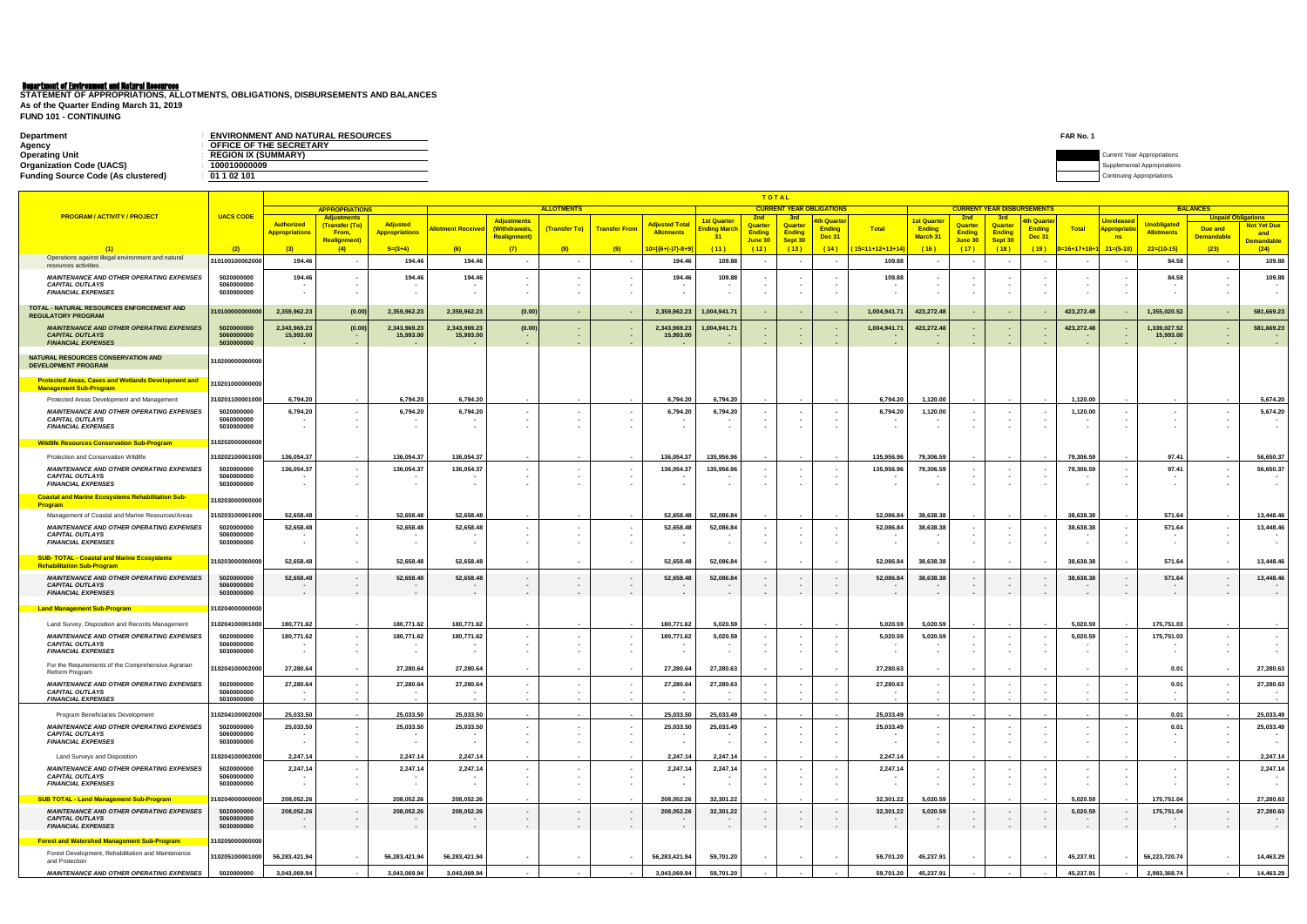# Department of Environment and Natural Resources

| <b>Department</b>                         | <b>ENVIRONMENT AND NATURAL RESOURCES</b> | <b>FAR No.</b> |                                    |
|-------------------------------------------|------------------------------------------|----------------|------------------------------------|
| Agency                                    | <b>FICE OF THE SECRETARY</b>             |                |                                    |
| <b>Operating Unit</b>                     | <b>REGION IX (SUMMARY)</b>               |                | <b>Current Year Appropriations</b> |
| <b>Organization Code (UACS)</b>           | 0010000009 -                             |                |                                    |
| <b>Funding Source Code (As clustered)</b> | 01 1 02 101                              |                | Continuing Appropriations          |

**FUND 101 - CONTINUING STATEMENT OF APPROPRIATIONS, ALLOTMENTS, OBLIGATIONS, DISBURSEMENTS AND BALANCES As of the Quarter Ending March 31, 2019**

|                                                                                        |                          | <b>TOTAL</b>              |                                             |                           |                                 |                                     |                                  |                          |                                |                                          |                          |                                         |                              |                    |                             |                          |                          |                                   |                  |                                   |                           |                                              |                          |
|----------------------------------------------------------------------------------------|--------------------------|---------------------------|---------------------------------------------|---------------------------|---------------------------------|-------------------------------------|----------------------------------|--------------------------|--------------------------------|------------------------------------------|--------------------------|-----------------------------------------|------------------------------|--------------------|-----------------------------|--------------------------|--------------------------|-----------------------------------|------------------|-----------------------------------|---------------------------|----------------------------------------------|--------------------------|
| <b>PROGRAM / ACTIVITY / PROJECT</b>                                                    | <b>UACS CODE</b>         |                           | <b>APPROPRIATIONS</b><br><b>Adjustments</b> |                           |                                 |                                     | <b>ALLOTMENTS</b>                |                          |                                |                                          |                          | <b>CURRENT YEAR OBLIGATIONS</b><br>-3rd |                              |                    |                             | <b>2nd</b>               |                          | <b>CURRENT YEAR DISBURSEMENTS</b> |                  |                                   |                           | <b>BALANCES</b><br><b>Unpaid Obligations</b> |                          |
|                                                                                        |                          | <b>Authorized</b>         | (Transfer (To)                              | <b>Adjusted</b>           | <mark>\llotment Received</mark> | <b>Adjustments</b><br>(Withdrawals, | (Transfer To)                    | <b>Transfer From</b>     | <b>Adjusted Total</b>          | <mark>1st Quarter</mark><br>Ending Marcl | 2nd<br><b>Quarter</b>    | Quarter                                 | 4th Quarter<br><b>Ending</b> | <b>Total</b>       | 1st Quarte<br><b>Ending</b> | <b>Quarter</b>           | -3rd<br>Quarter          | <u>th Quarte</u><br><b>Ending</b> | <b>Total</b>     | <b>Unreleased</b><br>Appropriatio | <b>Unobligated</b>        | Due and                                      | <b>Not Yet Due</b>       |
|                                                                                        |                          | <b>Appropriations</b>     | From,<br><b>Realignment)</b>                | <b>Appropriations</b>     |                                 | <b>Realignment)</b>                 |                                  |                          | <b>Allotments</b>              | 31                                       | <b>Ending</b><br>June 30 | <b>Ending</b><br>Sept 30                | <u>Dec 31</u>                |                    | <b>March 31</b>             | <b>Ending</b><br>June 30 | <b>Ending</b><br>Sept 30 | <b>Dec 31</b>                     |                  | ns                                | <b>Allotments</b>         | <b>Demandable</b>                            | and<br><b>Demandable</b> |
| (1)                                                                                    | (2)                      | (3)                       | (4)                                         | $5=(3+4)$                 | (6)                             | (7)                                 | (8)                              | (9)                      | <mark>10=[{6+(-)7}-8+</mark> 9 | (11)                                     | (12)                     | (13)                                    | (14)                         | $(15=11+12+13+14)$ | (16)                        | (17)                     | (18)                     | (19)                              | 0=16+17+18+      | $21=(5-10)$                       | $22=(10-15)$              | (23)                                         | (24)                     |
| Operations against illegal environment and natural<br>resources activities             | 31010010000200           | 194.46                    |                                             | 194.46                    | 194.46                          |                                     |                                  |                          | 194.46                         | 109.88                                   |                          |                                         |                              | 109.88             |                             |                          |                          |                                   |                  |                                   | 84.58                     |                                              | 109.88                   |
| <b>MAINTENANCE AND OTHER OPERATING EXPENSES</b>                                        | 5020000000               | 194.46                    |                                             | 194.46                    | 194.46                          |                                     |                                  |                          | 194.46                         | 109.88                                   |                          |                                         |                              | 109.88             |                             |                          |                          |                                   |                  |                                   | 84.58                     |                                              | 109.88                   |
| <b>CAPITAL OUTLAYS</b>                                                                 | 5060000000               |                           |                                             |                           |                                 |                                     |                                  |                          |                                |                                          |                          |                                         |                              |                    |                             |                          |                          |                                   |                  |                                   |                           |                                              |                          |
| <b>FINANCIAL EXPENSES</b>                                                              | 5030000000               |                           |                                             |                           |                                 |                                     |                                  |                          |                                |                                          |                          |                                         |                              |                    |                             |                          |                          |                                   |                  |                                   |                           |                                              |                          |
| TOTAL - NATURAL RESOURCES ENFORCEMENT AND                                              | 31010000000000           | 2,359,962.23              | (0.00)                                      | 2,359,962.23              | 2,359,962.23                    | (0.00)                              |                                  |                          | 2,359,962.23                   | 1,004,941.71                             |                          |                                         |                              | 1,004,941.71       | 423,272.48                  |                          | $\sim$                   |                                   | 423,272.48       |                                   | 1,355,020.52              |                                              | 581,669.23               |
| <b>REGULATORY PROGRAM</b>                                                              |                          |                           |                                             |                           |                                 |                                     |                                  |                          |                                |                                          |                          |                                         |                              |                    |                             |                          |                          |                                   |                  |                                   |                           |                                              |                          |
| <b>MAINTENANCE AND OTHER OPERATING EXPENSES</b><br><b>CAPITAL OUTLAYS</b>              | 5020000000<br>5060000000 | 2,343,969.23<br>15,993.00 | (0.00)                                      | 2,343,969.23<br>15,993.00 | 2,343,969.23<br>15,993.00       | (0.00)<br>$\blacksquare$            | ٠                                |                          | 2,343,969.23<br>15,993.00      | 1,004,941.71                             |                          |                                         |                              | 1,004,941.7        | 423,272.48                  |                          |                          |                                   | 423,272.48       |                                   | 1,339,027.52<br>15,993.00 |                                              | 581,669.23               |
| <b>FINANCIAL EXPENSES</b>                                                              | 5030000000               |                           |                                             |                           |                                 |                                     |                                  |                          |                                |                                          |                          |                                         |                              |                    |                             |                          |                          |                                   | $\sim$           |                                   |                           |                                              |                          |
| NATURAL RESOURCES CONSERVATION AND                                                     | 310200000000000          |                           |                                             |                           |                                 |                                     |                                  |                          |                                |                                          |                          |                                         |                              |                    |                             |                          |                          |                                   |                  |                                   |                           |                                              |                          |
| <b>DEVELOPMENT PROGRAM</b>                                                             |                          |                           |                                             |                           |                                 |                                     |                                  |                          |                                |                                          |                          |                                         |                              |                    |                             |                          |                          |                                   |                  |                                   |                           |                                              |                          |
| <b>Protected Areas, Caves and Wetlands Development and</b>                             | 310201000000000          |                           |                                             |                           |                                 |                                     |                                  |                          |                                |                                          |                          |                                         |                              |                    |                             |                          |                          |                                   |                  |                                   |                           |                                              |                          |
| <b>Management Sub-Program</b>                                                          |                          |                           |                                             |                           |                                 |                                     |                                  |                          |                                |                                          |                          |                                         |                              |                    |                             |                          |                          |                                   |                  |                                   |                           |                                              |                          |
| Protected Areas Development and Management                                             | 31020110000100           | 6,794.20                  |                                             | 6.794.20                  | 6,794.20                        |                                     |                                  |                          | 6,794.20                       | 6,794.20                                 |                          |                                         |                              | 6,794.20           | 1,120.00                    |                          |                          |                                   | 1,120.00         |                                   |                           |                                              | 5,674.20                 |
| <b>MAINTENANCE AND OTHER OPERATING EXPENSES</b><br><b>CAPITAL OUTLAYS</b>              | 5020000000<br>5060000000 | 6,794.20                  |                                             | 6,794.20                  | 6,794.20                        |                                     |                                  |                          | 6,794.20                       | 6,794.20                                 |                          |                                         |                              | 6,794.20           | 1,120.00                    |                          | $\sim$                   |                                   | 1,120.00         |                                   |                           |                                              | 5,674.20                 |
| <b>FINANCIAL EXPENSES</b>                                                              | 5030000000               |                           |                                             |                           |                                 |                                     |                                  |                          |                                |                                          |                          |                                         |                              |                    |                             |                          |                          |                                   |                  |                                   |                           |                                              |                          |
| <b>Wildlife Resources Conservation Sub-Program</b>                                     | 310202000000000          |                           |                                             |                           |                                 |                                     |                                  |                          |                                |                                          |                          |                                         |                              |                    |                             |                          |                          |                                   |                  |                                   |                           |                                              |                          |
| Protection and Conservation Wildlife                                                   | 31020210000100           | 136,054.37                |                                             | 136,054.37                | 136,054.37                      |                                     |                                  |                          | 136,054.37                     | 135,956.96                               |                          |                                         |                              | 135,956.96         | 79,306.59                   |                          |                          |                                   | 79,306.59        |                                   | 97.41                     |                                              | 56,650.37                |
| <b>MAINTENANCE AND OTHER OPERATING EXPENSES</b>                                        | 5020000000               | 136,054.37                |                                             | 136,054.37                | 136,054.37                      |                                     |                                  |                          | 136,054.37                     | 135,956.96                               |                          |                                         |                              | 135,956.96         | 79,306.59                   |                          |                          |                                   | 79,306.59        |                                   | 97.41                     |                                              | 56,650.37                |
| <b>CAPITAL OUTLAYS</b>                                                                 | 5060000000               |                           |                                             |                           |                                 |                                     |                                  |                          |                                |                                          |                          |                                         |                              |                    |                             |                          |                          |                                   |                  |                                   |                           |                                              |                          |
| <b>FINANCIAL EXPENSES</b>                                                              | 5030000000               |                           |                                             |                           |                                 |                                     |                                  |                          |                                |                                          |                          |                                         |                              |                    |                             |                          |                          |                                   |                  |                                   |                           |                                              |                          |
| <b>Coastal and Marine Ecosystems Rehabilitation Sub-</b><br><b>Program</b>             | 310203000000000          |                           |                                             |                           |                                 |                                     |                                  |                          |                                |                                          |                          |                                         |                              |                    |                             |                          |                          |                                   |                  |                                   |                           |                                              |                          |
| Management of Coastal and Marine Resources/Areas                                       | 31020310000100           | 52,658.48                 |                                             | 52,658.48                 | 52,658.48                       |                                     |                                  |                          | 52,658.48                      | 52,086.84                                |                          |                                         |                              | 52,086.84          | 38,638.38                   |                          |                          |                                   | 38,638.38        |                                   | 571.64                    |                                              | 13,448.46                |
| <b>MAINTENANCE AND OTHER OPERATING EXPENSES</b>                                        | 5020000000               | 52,658.48                 |                                             | 52,658.48                 | 52,658.48                       |                                     |                                  |                          | 52,658.48                      | 52,086.84                                |                          |                                         |                              | 52,086.84          | 38,638.38                   |                          |                          |                                   | 38,638.38        |                                   | 571.64                    |                                              | 13,448.46                |
| <b>CAPITAL OUTLAYS</b><br><b>FINANCIAL EXPENSES</b>                                    | 5060000000<br>5030000000 |                           |                                             |                           |                                 |                                     |                                  |                          |                                |                                          |                          |                                         |                              |                    |                             |                          |                          |                                   |                  |                                   |                           |                                              |                          |
|                                                                                        |                          |                           |                                             |                           |                                 |                                     |                                  |                          |                                |                                          |                          |                                         |                              |                    |                             |                          |                          |                                   |                  |                                   |                           |                                              |                          |
| <b>SUB- TOTAL - Coastal and Marine Ecosystems</b><br><b>Rehabilitation Sub-Program</b> | 310203000000000          | 52,658.48                 |                                             | 52,658.48                 | 52,658.48                       |                                     |                                  |                          | 52,658.48                      | 52,086.84                                |                          |                                         |                              | 52,086.84          | 38,638.38                   | $\sim$                   | $\sim$                   |                                   | 38,638.38        |                                   | 571.64                    |                                              | 13,448.46                |
| <b>MAINTENANCE AND OTHER OPERATING EXPENSES</b>                                        | 5020000000               | 52,658.48                 |                                             | 52,658.48                 | 52,658.48                       |                                     |                                  |                          | 52,658.48                      | 52,086.84                                |                          |                                         |                              | 52,086.84          | 38,638.38                   |                          |                          |                                   | 38,638.38        |                                   | 571.64                    |                                              | 13,448.46                |
| <b>CAPITAL OUTLAYS</b><br><b>FINANCIAL EXPENSES</b>                                    | 5060000000<br>5030000000 | $\sim$                    | $\sim$                                      |                           |                                 | $\overline{\phantom{a}}$<br>$\sim$  | $\blacksquare$<br>$\blacksquare$ | $\sim$                   | $\sim$                         | $\sim$                                   | $\blacksquare$           | . .                                     | $\sim$                       | $\sim$             | $\sim$                      |                          | $\sim$                   | $\sim$                            | $\sim$           | $\sim$                            |                           |                                              |                          |
|                                                                                        |                          |                           |                                             |                           |                                 |                                     |                                  |                          |                                |                                          |                          |                                         |                              |                    |                             |                          |                          |                                   |                  |                                   |                           |                                              |                          |
| <b>Land Management Sub-Program</b>                                                     | 310204000000000          |                           |                                             |                           |                                 |                                     |                                  |                          |                                |                                          |                          |                                         |                              |                    |                             |                          |                          |                                   |                  |                                   |                           |                                              |                          |
| Land Survey, Disposition and Records Management                                        | 31020410000100           | 180,771.62                |                                             | 180,771.62                | 180,771.62                      |                                     |                                  |                          | 180,771.62                     | 5,020.59                                 |                          |                                         |                              | 5,020.59           | 5,020.59                    |                          |                          |                                   | 5,020.59         |                                   | 175,751.03                |                                              |                          |
| <b>MAINTENANCE AND OTHER OPERATING EXPENSES</b>                                        | 5020000000               | 180,771.62                |                                             | 180,771.62                | 180,771.62                      |                                     |                                  |                          | 180,771.62                     | 5,020.59                                 |                          |                                         |                              | 5,020.59           | 5,020.59                    |                          |                          |                                   | 5,020.59         |                                   | 175,751.03                |                                              |                          |
| <b>CAPITAL OUTLAYS</b><br><b>FINANCIAL EXPENSES</b>                                    | 5060000000<br>5030000000 |                           |                                             |                           |                                 |                                     |                                  |                          |                                |                                          |                          |                                         |                              |                    |                             |                          |                          |                                   |                  |                                   |                           |                                              |                          |
| For the Requirements of the Comprehensive Agrarian                                     |                          |                           |                                             |                           |                                 |                                     |                                  |                          |                                |                                          |                          |                                         |                              |                    |                             |                          |                          |                                   |                  |                                   |                           |                                              |                          |
| Reform Program                                                                         | 31020410000200           | 27,280.64                 |                                             | 27,280.64                 | 27,280.64                       |                                     |                                  |                          | 27,280.64                      | 27,280.63                                |                          |                                         |                              | 27,280.63          |                             |                          |                          |                                   |                  |                                   | 0.01                      |                                              | 27,280.63                |
| <b>MAINTENANCE AND OTHER OPERATING EXPENSES</b>                                        | 5020000000               | 27.280.64                 |                                             | 27,280.64                 | 27.280.64                       |                                     |                                  |                          | 27.280.64                      | 27,280.63                                |                          |                                         |                              | 27.280.63          |                             |                          |                          |                                   |                  |                                   | 0.01                      |                                              | 27,280.63                |
| <b>CAPITAL OUTLAYS</b><br><b>FINANCIAL EXPENSES</b>                                    | 5060000000<br>5030000000 |                           |                                             |                           |                                 | ۰.                                  |                                  | $\overline{\phantom{a}}$ |                                |                                          |                          |                                         |                              |                    |                             |                          |                          |                                   | $\sim$           |                                   | $\sim$                    |                                              | $\sim$                   |
| Program Beneficiaries Development                                                      | 31020410000200           | 25,033.50                 |                                             | 25,033.50                 | 25,033.50                       |                                     |                                  |                          | 25,033.50                      | 25.033.49                                |                          |                                         |                              | 25.033.49          |                             |                          |                          |                                   |                  |                                   | 0.01                      |                                              | 25,033.49                |
| <b>MAINTENANCE AND OTHER OPERATING EXPENSES</b>                                        | 5020000000               | 25,033.50                 |                                             | 25,033.50                 | 25,033.50                       |                                     |                                  |                          | 25,033.50                      | 25,033.49                                |                          |                                         |                              | 25,033.49          |                             |                          |                          |                                   |                  |                                   | 0.01                      |                                              | 25,033.49                |
| <b>CAPITAL OUTLAYS</b>                                                                 | 5060000000               |                           |                                             |                           |                                 | ۰.                                  |                                  |                          |                                |                                          |                          |                                         |                              |                    |                             |                          |                          |                                   |                  |                                   |                           |                                              | $\overline{\phantom{a}}$ |
| <b>FINANCIAL EXPENSES</b>                                                              | 5030000000               |                           |                                             |                           |                                 | $\blacksquare$                      |                                  |                          |                                |                                          |                          |                                         |                              |                    |                             |                          |                          |                                   | $\sim$           |                                   |                           |                                              | $\sim$                   |
| Land Surveys and Disposition                                                           | 31020410000200           | 2,247.14                  |                                             | 2.247.14                  | 2,247.14                        |                                     |                                  |                          | 2,247.14                       | 2,247.14                                 |                          |                                         |                              | 2,247.14           |                             |                          |                          |                                   |                  |                                   |                           |                                              | 2,247.14                 |
| <b>MAINTENANCE AND OTHER OPERATING EXPENSES</b><br><b>CAPITAL OUTLAYS</b>              | 5020000000<br>5060000000 | 2,247.14                  |                                             | 2,247.14<br>$\sim$        | 2,247.14                        |                                     |                                  | $\sim$<br>$\sim$         | 2,247.14                       | 2,247.14                                 |                          |                                         |                              | 2,247.14           |                             |                          |                          |                                   | $\sim$<br>$\sim$ |                                   |                           |                                              | 2,247.14                 |
| <b>FINANCIAL EXPENSES</b>                                                              | 5030000000               |                           | $\sim$                                      | $\sim$                    |                                 |                                     |                                  | $\overline{\phantom{a}}$ |                                |                                          |                          |                                         |                              |                    |                             |                          |                          |                                   | $\sim$           |                                   |                           |                                              | $\sim$                   |
| <b>SUB TOTAL - Land Management Sub-Program</b>                                         | 31020400000000           | 208,052.26                |                                             | 208,052.26                | 208,052.26                      |                                     |                                  |                          | 208,052.26                     | 32,301.22                                |                          |                                         |                              | 32,301.22          | 5,020.59                    |                          |                          |                                   | 5,020.59         |                                   | 175,751.04                |                                              | 27,280.63                |
| <b>MAINTENANCE AND OTHER OPERATING EXPENSES</b>                                        | 5020000000               | 208,052.26                |                                             | 208,052.26                | 208,052.26                      | $\sim$                              | $\sim$                           |                          | 208,052.26                     | 32,301.22                                | $\overline{\phantom{a}}$ |                                         |                              | 32,301.22          | 5,020.59                    |                          | $\sim$                   |                                   | 5,020.59         |                                   | 175,751.04                | $\sim$                                       | 27,280.63                |
| <b>CAPITAL OUTLAYS</b><br><b>FINANCIAL EXPENSES</b>                                    | 5060000000<br>5030000000 |                           |                                             |                           |                                 | $\sim$<br>$\sim$                    | $\blacksquare$<br>$\blacksquare$ | $\sim$<br>$\sim$         |                                | $\sim$                                   | $\sim$                   | $\sim$                                  | $\sim$                       | $\sim$             |                             |                          | $\sim$<br>$\sim$         | $\sim$                            | $\sim$           |                                   |                           | $\sim$<br>$\sim$                             | $\sim$ 100 $\pm$         |
|                                                                                        |                          |                           |                                             |                           |                                 |                                     |                                  |                          |                                |                                          |                          |                                         |                              |                    |                             |                          |                          |                                   |                  |                                   |                           |                                              |                          |
| <b>Forest and Watershed Management Sub-Program</b>                                     | 310205000000000          |                           |                                             |                           |                                 |                                     |                                  |                          |                                |                                          |                          |                                         |                              |                    |                             |                          |                          |                                   |                  |                                   |                           |                                              |                          |
| Forest Development, Rehabilitation and Maintenance<br>and Protection                   | 310205100001000          | 56,283,421.94             |                                             | 56,283,421.94             | 56,283,421.94                   |                                     |                                  |                          | 56,283,421.94                  | 59,701.20                                |                          |                                         |                              | 59,701.20          | 45,237.91                   |                          |                          |                                   | 45,237.91        |                                   | 56,223,720.74             | $\sim$                                       | 14,463.29                |
| <b>MAINTENANCE AND OTHER OPERATING EXPENSES</b>                                        | 5020000000               | 3,043,069.94              |                                             | 3,043,069.94              | 3,043,069.94                    |                                     |                                  |                          | 3,043,069.94                   | 59,701.20                                |                          |                                         |                              | 59,701.20          | 45,237.91                   |                          |                          |                                   | 45,237.91        |                                   | 2,983,368.74              |                                              | 14,463.29                |